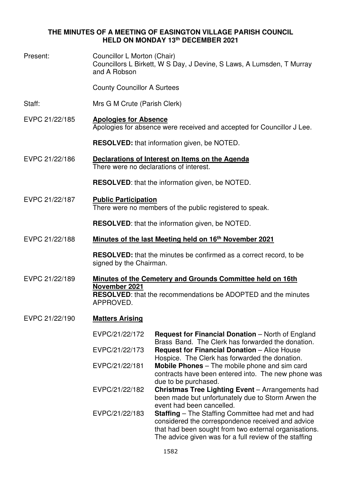# **THE MINUTES OF A MEETING OF EASINGTON VILLAGE PARISH COUNCIL HELD ON MONDAY 13th DECEMBER 2021**

| Present:       | Councillor L Morton (Chair)<br>Councillors L Birkett, W S Day, J Devine, S Laws, A Lumsden, T Murray<br>and A Robson                                             |                                                                                                                                                                                                                                  |  |
|----------------|------------------------------------------------------------------------------------------------------------------------------------------------------------------|----------------------------------------------------------------------------------------------------------------------------------------------------------------------------------------------------------------------------------|--|
|                | <b>County Councillor A Surtees</b>                                                                                                                               |                                                                                                                                                                                                                                  |  |
| Staff:         | Mrs G M Crute (Parish Clerk)                                                                                                                                     |                                                                                                                                                                                                                                  |  |
| EVPC 21/22/185 | <b>Apologies for Absence</b><br>Apologies for absence were received and accepted for Councillor J Lee.                                                           |                                                                                                                                                                                                                                  |  |
|                | <b>RESOLVED:</b> that information given, be NOTED.                                                                                                               |                                                                                                                                                                                                                                  |  |
| EVPC 21/22/186 | Declarations of Interest on Items on the Agenda<br>There were no declarations of interest.                                                                       |                                                                                                                                                                                                                                  |  |
|                | <b>RESOLVED:</b> that the information given, be NOTED.                                                                                                           |                                                                                                                                                                                                                                  |  |
| EVPC 21/22/187 | <b>Public Participation</b><br>There were no members of the public registered to speak.                                                                          |                                                                                                                                                                                                                                  |  |
|                |                                                                                                                                                                  | <b>RESOLVED:</b> that the information given, be NOTED.                                                                                                                                                                           |  |
| EVPC 21/22/188 | Minutes of the last Meeting held on 16 <sup>th</sup> November 2021                                                                                               |                                                                                                                                                                                                                                  |  |
|                | signed by the Chairman.                                                                                                                                          | <b>RESOLVED:</b> that the minutes be confirmed as a correct record, to be                                                                                                                                                        |  |
| EVPC 21/22/189 | Minutes of the Cemetery and Grounds Committee held on 16th<br>November 2021<br><b>RESOLVED:</b> that the recommendations be ADOPTED and the minutes<br>APPROVED. |                                                                                                                                                                                                                                  |  |
| EVPC 21/22/190 | <b>Matters Arising</b>                                                                                                                                           |                                                                                                                                                                                                                                  |  |
|                | EVPC/21/22/172                                                                                                                                                   | <b>Request for Financial Donation</b> – North of England<br>Brass Band. The Clerk has forwarded the donation.                                                                                                                    |  |
|                | EVPC/21/22/173                                                                                                                                                   | <b>Request for Financial Donation - Alice House</b><br>Hospice. The Clerk has forwarded the donation.                                                                                                                            |  |
|                | EVPC/21/22/181                                                                                                                                                   | <b>Mobile Phones</b> – The mobile phone and sim card<br>contracts have been entered into. The new phone was<br>due to be purchased.                                                                                              |  |
|                | EVPC/21/22/182                                                                                                                                                   | Christmas Tree Lighting Event - Arrangements had<br>been made but unfortunately due to Storm Arwen the<br>event had been cancelled.                                                                                              |  |
|                | EVPC/21/22/183                                                                                                                                                   | <b>Staffing</b> – The Staffing Committee had met and had<br>considered the correspondence received and advice<br>that had been sought from two external organisations.<br>The advice given was for a full review of the staffing |  |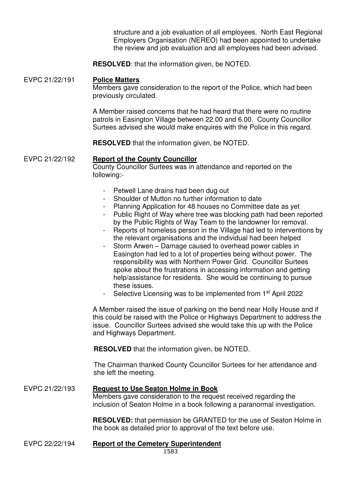structure and a job evaluation of all employees. North East Regional Employers Organisation (NEREO) had been appointed to undertake the review and job evaluation and all employees had been advised.

**RESOLVED**: that the information given, be NOTED.

## EVPC 21/22/191 **Police Matters**

Members gave consideration to the report of the Police, which had been previously circulated.

A Member raised concerns that he had heard that there were no routine patrols in Easington Village between 22.00 and 6.00. County Councillor Surtees advised she would make enquires with the Police in this regard.

**RESOLVED** that the information given, be NOTED.

## EVPC 21/22/192 **Report of the County Councillor**

County Councillor Surtees was in attendance and reported on the following:-

- Petwell Lane drains had been dug out
- Shoulder of Mutton no further information to date
- Planning Application for 48 houses no Committee date as yet
- Public Right of Way where tree was blocking path had been reported by the Public Rights of Way Team to the landowner for removal.
- Reports of homeless person in the Village had led to interventions by the relevant organisations and the individual had been helped
- Storm Arwen Damage caused to overhead power cables in Easington had led to a lot of properties being without power. The responsibility was with Northern Power Grid. Councillor Surtees spoke about the frustrations in accessing information and getting help/assistance for residents. She would be continuing to pursue these issues.
- Selective Licensing was to be implemented from 1<sup>st</sup> April 2022

A Member raised the issue of parking on the bend near Holly House and if this could be raised with the Police or Highways Department to address the issue. Councillor Surtees advised she would take this up with the Police and Highways Department.

**RESOLVED** that the information given, be NOTED.

The Chairman thanked County Councillor Surtees for her attendance and she left the meeting.

## EVPC 21/22/193 **Request to Use Seaton Holme in Book** Members gave consideration to the request received regarding the inclusion of Seaton Holme in a book following a paranormal investigation.

**RESOLVED:** that permission be GRANTED for the use of Seaton Holme in the book as detailed prior to approval of the text before use.

EVPC 22/22/194 **Report of the Cemetery Superintendent**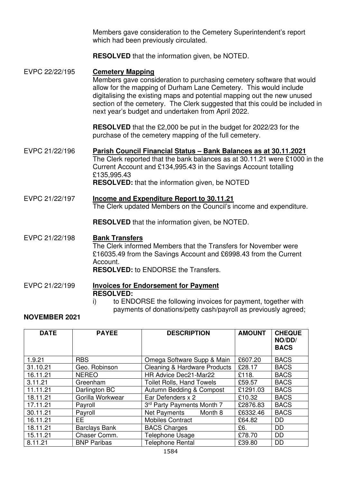Members gave consideration to the Cemetery Superintendent's report which had been previously circulated.

**RESOLVED** that the information given, be NOTED.

- EVPC 22/22/195 **Cemetery Mapping** Members gave consideration to purchasing cemetery software that would allow for the mapping of Durham Lane Cemetery. This would include digitalising the existing maps and potential mapping out the new unused section of the cemetery. The Clerk suggested that this could be included in next year's budget and undertaken from April 2022. **RESOLVED** that the £2,000 be put in the budget for 2022/23 for the purchase of the cemetery mapping of the full cemetery.
- EVPC 21/22/196 **Parish Council Financial Status Bank Balances as at 30.11.2021** The Clerk reported that the bank balances as at 30.11.21 were £1000 in the Current Account and £134,995.43 in the Savings Account totalling £135,995.43 **RESOLVED:** that the information given, be NOTED
- EVPC 21/22/197 **Income and Expenditure Report to 30.11.21**  The Clerk updated Members on the Council's income and expenditure.

**RESOLVED** that the information given, be NOTED.

# EVPC 21/22/198 **Bank Transfers**

The Clerk informed Members that the Transfers for November were £16035.49 from the Savings Account and £6998.43 from the Current **Account** 

**RESOLVED:** to ENDORSE the Transfers.

- EVPC 21/22/199 **Invoices for Endorsement for Payment RESOLVED:** 
	- i) to ENDORSE the following invoices for payment, together with payments of donations/petty cash/payroll as previously agreed;

# **NOVEMBER 2021**

| <b>DATE</b> | <b>PAYEE</b>         | <b>DESCRIPTION</b>                      | <b>AMOUNT</b> | <b>CHEQUE</b><br>NO/DD/<br><b>BACS</b> |
|-------------|----------------------|-----------------------------------------|---------------|----------------------------------------|
| 1.9.21      | <b>RBS</b>           | Omega Software Supp & Main              | £607.20       | <b>BACS</b>                            |
| 31.10.21    | Geo. Robinson        | <b>Cleaning &amp; Hardware Products</b> | £28.17        | <b>BACS</b>                            |
| 16.11.21    | <b>NEREO</b>         | HR Advice Dec21-Mar22                   | £118.         | <b>BACS</b>                            |
| 3.11.21     | Greenham             | <b>Toilet Rolls, Hand Towels</b>        | £59.57        | <b>BACS</b>                            |
| 11.11.21    | Darlington BC        | Autumn Bedding & Compost                | £1291.03      | <b>BACS</b>                            |
| 18.11.21    | Gorilla Workwear     | Ear Defenders x 2                       | £10.32        | <b>BACS</b>                            |
| 17.11.21    | Payroll              | 3rd Party Payments Month 7              | £2876.83      | <b>BACS</b>                            |
| 30.11.21    | Payroll              | Net Payments<br>Month 8                 | £6332.46      | <b>BACS</b>                            |
| 16.11.21    | EE.                  | <b>Mobiles Contract</b>                 | £64.82        | <b>DD</b>                              |
| 18.11.21    | <b>Barclays Bank</b> | <b>BACS Charges</b>                     | £6.           | <b>DD</b>                              |
| 15.11.21    | Chaser Comm.         | Telephone Usage                         | £78.70        | <b>DD</b>                              |
| 8.11.21     | <b>BNP Paribas</b>   | <b>Telephone Rental</b>                 | £39.80        | <b>DD</b>                              |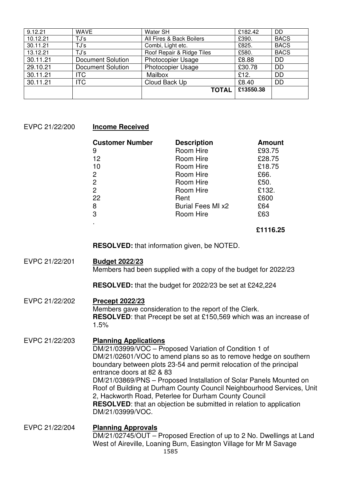| 9.12.21  | <b>WAVE</b>       | Water SH                  | £182.42   | DD          |
|----------|-------------------|---------------------------|-----------|-------------|
| 10.12.21 | TJ's              | All Fires & Back Boilers  | £390.     | <b>BACS</b> |
| 30.11.21 | TJ's              | Combi, Light etc.         | £825.     | <b>BACS</b> |
| 13.12.21 | TJ's              | Roof Repair & Ridge Tiles | £580.     | <b>BACS</b> |
| 30.11.21 | Document Solution | <b>Photocopier Usage</b>  | £8.88     | <b>DD</b>   |
| 29.10.21 | Document Solution | <b>Photocopier Usage</b>  | £30.78    | <b>DD</b>   |
| 30.11.21 | <b>ITC</b>        | Mailbox                   | £12.      | <b>DD</b>   |
| 30.11.21 | <b>ITC</b>        | Cloud Back Up             | £8.40     | <b>DD</b>   |
|          |                   | <b>TOTAL</b>              | £13550.38 |             |
|          |                   |                           |           |             |

#### EVPC 21/22/200 **Income Received**

| <b>Customer Number</b> | <b>Description</b>       | <b>Amount</b> |
|------------------------|--------------------------|---------------|
| 9                      | Room Hire                | £93.75        |
| 12                     | Room Hire                | £28.75        |
| 10                     | Room Hire                | £18.75        |
|                        | Room Hire                | £66.          |
| 2<br>2                 | Room Hire                | £50.          |
| $\overline{2}$         | Room Hire                | £132.         |
| 22                     | Rent                     | £600          |
| 8                      | <b>Burial Fees MI x2</b> | £64           |
| 3                      | Room Hire                | £63           |
|                        |                          |               |

## **£1116.25**

**RESOLVED:** that information given, be NOTED.

#### EVPC 21/22/201 **Budget 2022/23**

Members had been supplied with a copy of the budget for 2022/23

**RESOLVED:** that the budget for 2022/23 be set at £242,224

## EVPC 21/22/202 **Precept 2022/23**

Members gave consideration to the report of the Clerk. **RESOLVED:** that Precept be set at £150,569 which was an increase of 1.5%

# EVPC 21/22/203 **Planning Applications**

DM/21/03999/VOC – Proposed Variation of Condition 1 of DM/21/02601/VOC to amend plans so as to remove hedge on southern boundary between plots 23-54 and permit relocation of the principal entrance doors at 82 & 83 DM/21/03869/PNS – Proposed Installation of Solar Panels Mounted on Roof of Building at Durham County Council Neighbourhood Services, Unit 2, Hackworth Road, Peterlee for Durham County Council **RESOLVED**: that an objection be submitted in relation to application DM/21/03999/VOC.

# EVPC 21/22/204 **Planning Approvals**  DM/21/02745/OUT – Proposed Erection of up to 2 No. Dwellings at Land West of Aireville, Loaning Burn, Easington Village for Mr M Savage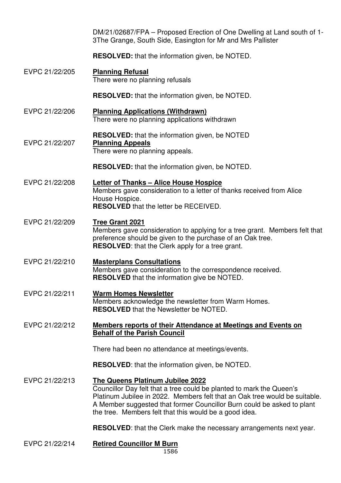|                | DM/21/02687/FPA – Proposed Erection of One Dwelling at Land south of 1-<br>3The Grange, South Side, Easington for Mr and Mrs Pallister                                                                                                                                                                                     |
|----------------|----------------------------------------------------------------------------------------------------------------------------------------------------------------------------------------------------------------------------------------------------------------------------------------------------------------------------|
|                | <b>RESOLVED:</b> that the information given, be NOTED.                                                                                                                                                                                                                                                                     |
| EVPC 21/22/205 | <b>Planning Refusal</b><br>There were no planning refusals                                                                                                                                                                                                                                                                 |
|                | <b>RESOLVED:</b> that the information given, be NOTED.                                                                                                                                                                                                                                                                     |
| EVPC 21/22/206 | <b>Planning Applications (Withdrawn)</b><br>There were no planning applications withdrawn                                                                                                                                                                                                                                  |
| EVPC 21/22/207 | <b>RESOLVED:</b> that the information given, be NOTED<br><b>Planning Appeals</b><br>There were no planning appeals.                                                                                                                                                                                                        |
|                | <b>RESOLVED:</b> that the information given, be NOTED.                                                                                                                                                                                                                                                                     |
| EVPC 21/22/208 | Letter of Thanks - Alice House Hospice<br>Members gave consideration to a letter of thanks received from Alice<br>House Hospice.<br><b>RESOLVED</b> that the letter be RECEIVED.                                                                                                                                           |
| EVPC 21/22/209 | <b>Tree Grant 2021</b><br>Members gave consideration to applying for a tree grant. Members felt that<br>preference should be given to the purchase of an Oak tree.<br><b>RESOLVED:</b> that the Clerk apply for a tree grant.                                                                                              |
| EVPC 21/22/210 | <b>Masterplans Consultations</b><br>Members gave consideration to the correspondence received.<br><b>RESOLVED</b> that the information give be NOTED.                                                                                                                                                                      |
| EVPC 21/22/211 | <b>Warm Homes Newsletter</b><br>Members acknowledge the newsletter from Warm Homes.<br><b>RESOLVED</b> that the Newsletter be NOTED.                                                                                                                                                                                       |
| EVPC 21/22/212 | <b>Members reports of their Attendance at Meetings and Events on</b><br><b>Behalf of the Parish Council</b>                                                                                                                                                                                                                |
|                | There had been no attendance at meetings/events.                                                                                                                                                                                                                                                                           |
|                | <b>RESOLVED:</b> that the information given, be NOTED.                                                                                                                                                                                                                                                                     |
| EVPC 21/22/213 | The Queens Platinum Jubilee 2022<br>Councillor Day felt that a tree could be planted to mark the Queen's<br>Platinum Jubilee in 2022. Members felt that an Oak tree would be suitable.<br>A Member suggested that former Councillor Burn could be asked to plant<br>the tree. Members felt that this would be a good idea. |
|                | <b>RESOLVED:</b> that the Clerk make the necessary arrangements next year.                                                                                                                                                                                                                                                 |
| EVPC 21/22/214 | <b>Retired Councillor M Burn</b><br>1586                                                                                                                                                                                                                                                                                   |